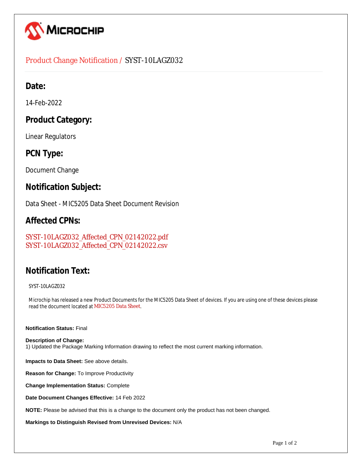

## Product Change Notification / SYST-10LAGZ032

## **Date:**

14-Feb-2022

# **Product Category:**

Linear Regulators

# **PCN Type:**

Document Change

## **Notification Subject:**

Data Sheet - MIC5205 Data Sheet Document Revision

## **Affected CPNs:**

[SYST-10LAGZ032\\_Affected\\_CPN\\_02142022.pdf](https://www.microchip.com/mymicrochipapi/api/pcn/DownloadPcnDocument?pcnId=17431&affectedcpns=pdf) [SYST-10LAGZ032\\_Affected\\_CPN\\_02142022.csv](https://www.microchip.com/mymicrochipapi/api/pcn/DownloadPcnDocument?pcnId=17431&affectedcpns=xls)

# **Notification Text:**

SYST-10LAGZ032

Microchip has released a new Product Documents for the MIC5205 Data Sheet of devices. If you are using one of these devices please read the document located at [MIC5205 Data Sheet](https://www.microchip.com/webdata/api/Document/DownloadDocumentsForFileHandlerByContentId?contentId=en579613).

#### **Notification Status:** Final

**Description of Change:** 1) Updated the Package Marking Information drawing to reflect the most current marking information.

**Impacts to Data Sheet:** See above details.

**Reason for Change:** To Improve Productivity

**Change Implementation Status:** Complete

**Date Document Changes Effective:** 14 Feb 2022

**NOTE:** Please be advised that this is a change to the document only the product has not been changed.

**Markings to Distinguish Revised from Unrevised Devices:** N/A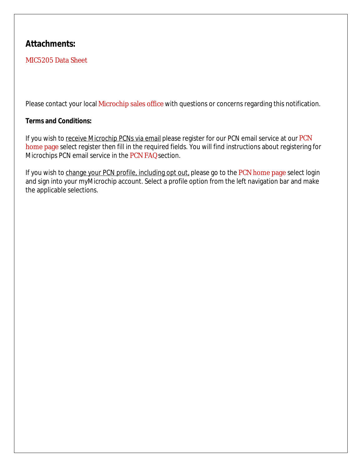# **Attachments:**

## [MIC5205 Data Sheet](https://www.microchip.com/webdata/api/Document/DownloadDocumentsForFileHandlerByContentId?contentId=en579613)

Please contact your local [Microchip sales office](http://www.microchip.com/distributors/SalesHome.aspx) with questions or concerns regarding this notification.

#### **Terms and Conditions:**

If you wish to receive Microchip PCNs via email please register for our [PCN](http://www.microchip.com/pcn) email service at our PCN [home page](http://www.microchip.com/pcn) select register then fill in the required fields. You will find instructions about registering for Microchips PCN email service in the [PCN FAQ](http://www.microchip.com/pcn/faqs) section.

If you wish to change your PCN profile, including opt out, please go to the [PCN home page](http://www.microchip.com/pcn) select login and sign into your myMicrochip account. Select a profile option from the left navigation bar and make the applicable selections.